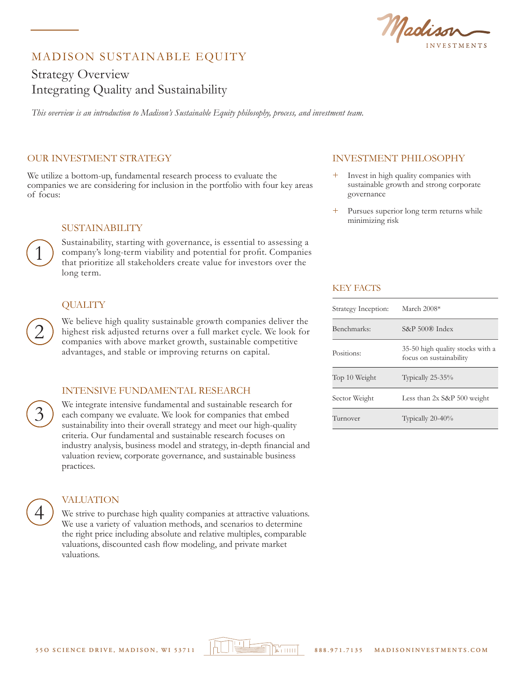Madis ESTMENTS

# MADISON SUSTAINABLE EQUITY

# Strategy Overview Integrating Quality and Sustainability

*This overview is an introduction to Madison's Sustainable Equity philosophy, process, and investment team.* 

### OUR INVESTMENT STRATEGY

We utilize a bottom-up, fundamental research process to evaluate the companies we are considering for inclusion in the portfolio with four key areas of focus:

#### SUSTAINABILITY

Sustainability, starting with governance, is essential to assessing a company's long-term viability and potential for profit. Companies that prioritize all stakeholders create value for investors over the long term.

## **QUALITY**

We believe high quality sustainable growth companies deliver the highest risk adjusted returns over a full market cycle. We look for companies with above market growth, sustainable competitive advantages, and stable or improving returns on capital.

#### INTENSIVE FUNDAMENTAL RESEARCH

We integrate intensive fundamental and sustainable research for each company we evaluate. We look for companies that embed sustainability into their overall strategy and meet our high-quality criteria. Our fundamental and sustainable research focuses on industry analysis, business model and strategy, in-depth financial and valuation review, corporate governance, and sustainable business practices.

3

4

1

2

#### VALUATION

We strive to purchase high quality companies at attractive valuations. We use a variety of valuation methods, and scenarios to determine the right price including absolute and relative multiples, comparable valuations, discounted cash flow modeling, and private market valuations.

# INVESTMENT PHILOSOPHY

- Invest in high quality companies with sustainable growth and strong corporate governance
- Pursues superior long term returns while minimizing risk

### KEY FACTS

| Strategy Inception: | March 2008*                                                 |
|---------------------|-------------------------------------------------------------|
| Benchmarks:         | $S\&P 500\&P 1$ ndex                                        |
| Positions:          | 35-50 high quality stocks with a<br>focus on sustainability |
| Top 10 Weight       | Typically 25-35%                                            |
| Sector Weight       | Less than $2x$ S&P 500 weight                               |
| Turnover            | Typically $20-40\%$                                         |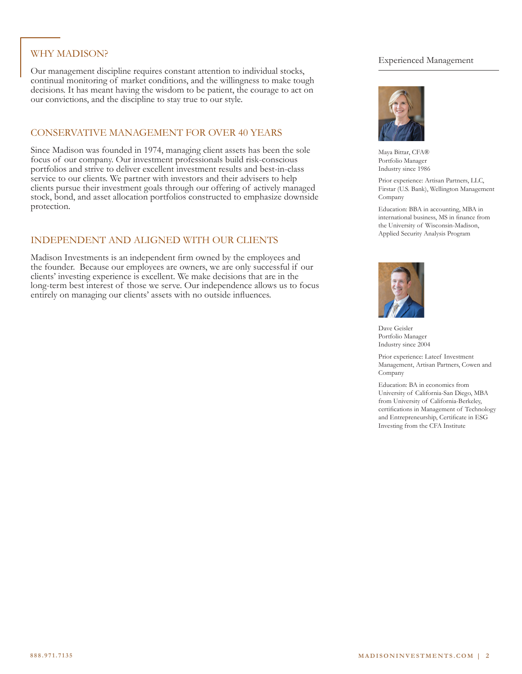# WHY MADISON?

Our management discipline requires constant attention to individual stocks, continual monitoring of market conditions, and the willingness to make tough decisions. It has meant having the wisdom to be patient, the courage to act on our convictions, and the discipline to stay true to our style.

## CONSERVATIVE MANAGEMENT FOR OVER 40 YEARS

Since Madison was founded in 1974, managing client assets has been the sole focus of our company. Our investment professionals build risk-conscious portfolios and strive to deliver excellent investment results and best-in-class service to our clients. We partner with investors and their advisers to help clients pursue their investment goals through our offering of actively managed stock, bond, and asset allocation portfolios constructed to emphasize downside protection.

# INDEPENDENT AND ALIGNED WITH OUR CLIENTS

Madison Investments is an independent firm owned by the employees and the founder. Because our employees are owners, we are only successful if our clients' investing experience is excellent. We make decisions that are in the long-term best interest of those we serve. Our independence allows us to focus entirely on managing our clients' assets with no outside influences.

## Experienced Management



Maya Bittar, CFA® Portfolio Manager Industry since 1986

Prior experience: Artisan Partners, LLC, Firstar (U.S. Bank), Wellington Management Company

Education: BBA in accounting, MBA in international business, MS in finance from the University of Wisconsin-Madison, Applied Security Analysis Program



Dave Geisler Portfolio Manager Industry since 2004

Prior experience: Lateef Investment Management, Artisan Partners, Cowen and Company

Education: BA in economics from University of California-San Diego, MBA from University of California-Berkeley, certifications in Management of Technology and Entrepreneurship, Certificate in ESG Investing from the CFA Institute